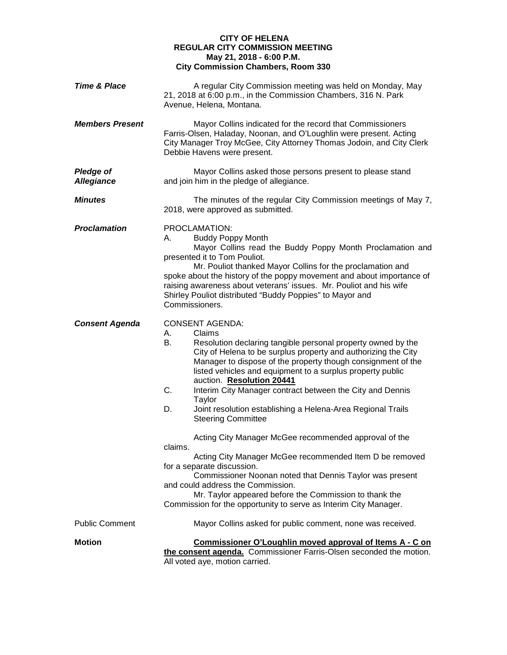## **CITY OF HELENA REGULAR CITY COMMISSION MEETING May 21, 2018 - 6:00 P.M. City Commission Chambers, Room 330**

| <b>Time &amp; Place</b>               | A regular City Commission meeting was held on Monday, May<br>21, 2018 at 6:00 p.m., in the Commission Chambers, 316 N. Park<br>Avenue, Helena, Montana.                                                                                                                                                                                                                                                                                                                                                                                                                                                                                                                                                                                                                                                                                                                                                              |
|---------------------------------------|----------------------------------------------------------------------------------------------------------------------------------------------------------------------------------------------------------------------------------------------------------------------------------------------------------------------------------------------------------------------------------------------------------------------------------------------------------------------------------------------------------------------------------------------------------------------------------------------------------------------------------------------------------------------------------------------------------------------------------------------------------------------------------------------------------------------------------------------------------------------------------------------------------------------|
| <b>Members Present</b>                | Mayor Collins indicated for the record that Commissioners<br>Farris-Olsen, Haladay, Noonan, and O'Loughlin were present. Acting<br>City Manager Troy McGee, City Attorney Thomas Jodoin, and City Clerk<br>Debbie Havens were present.                                                                                                                                                                                                                                                                                                                                                                                                                                                                                                                                                                                                                                                                               |
| <b>Pledge of</b><br><b>Allegiance</b> | Mayor Collins asked those persons present to please stand<br>and join him in the pledge of allegiance.                                                                                                                                                                                                                                                                                                                                                                                                                                                                                                                                                                                                                                                                                                                                                                                                               |
| <b>Minutes</b>                        | The minutes of the regular City Commission meetings of May 7,<br>2018, were approved as submitted.                                                                                                                                                                                                                                                                                                                                                                                                                                                                                                                                                                                                                                                                                                                                                                                                                   |
| <b>Proclamation</b>                   | PROCLAMATION:<br><b>Buddy Poppy Month</b><br>А.<br>Mayor Collins read the Buddy Poppy Month Proclamation and<br>presented it to Tom Pouliot.<br>Mr. Pouliot thanked Mayor Collins for the proclamation and<br>spoke about the history of the poppy movement and about importance of<br>raising awareness about veterans' issues. Mr. Pouliot and his wife<br>Shirley Pouliot distributed "Buddy Poppies" to Mayor and<br>Commissioners.                                                                                                                                                                                                                                                                                                                                                                                                                                                                              |
| <b>Consent Agenda</b>                 | <b>CONSENT AGENDA:</b><br>Claims<br>А.<br>В.<br>Resolution declaring tangible personal property owned by the<br>City of Helena to be surplus property and authorizing the City<br>Manager to dispose of the property though consignment of the<br>listed vehicles and equipment to a surplus property public<br>auction. Resolution 20441<br>C.<br>Interim City Manager contract between the City and Dennis<br>Taylor<br>Joint resolution establishing a Helena-Area Regional Trails<br>D.<br><b>Steering Committee</b><br>Acting City Manager McGee recommended approval of the<br>claims.<br>Acting City Manager McGee recommended Item D be removed<br>for a separate discussion.<br>Commissioner Noonan noted that Dennis Taylor was present<br>and could address the Commission.<br>Mr. Taylor appeared before the Commission to thank the<br>Commission for the opportunity to serve as Interim City Manager. |
| <b>Public Comment</b>                 | Mayor Collins asked for public comment, none was received.                                                                                                                                                                                                                                                                                                                                                                                                                                                                                                                                                                                                                                                                                                                                                                                                                                                           |
| <b>Motion</b>                         | Commissioner O'Loughlin moved approval of Items A - C on<br>the consent agenda. Commissioner Farris-Olsen seconded the motion.<br>All voted aye, motion carried.                                                                                                                                                                                                                                                                                                                                                                                                                                                                                                                                                                                                                                                                                                                                                     |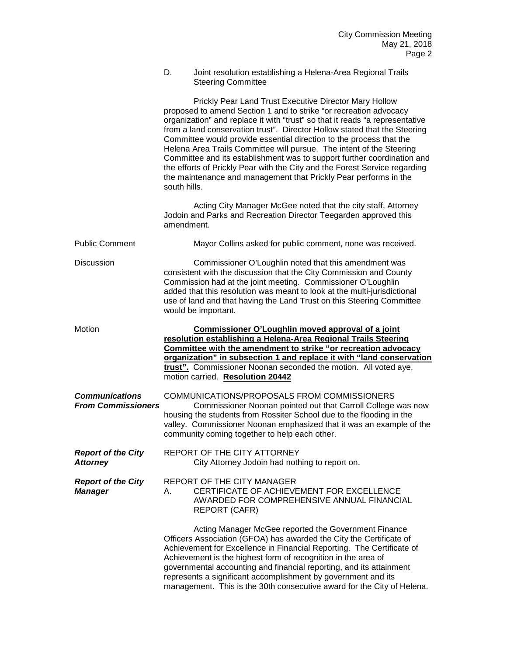| D. | Joint resolution establishing a Helena-Area Regional Trails |
|----|-------------------------------------------------------------|
|    | <b>Steering Committee</b>                                   |

|                                                    | Prickly Pear Land Trust Executive Director Mary Hollow<br>proposed to amend Section 1 and to strike "or recreation advocacy<br>organization" and replace it with "trust" so that it reads "a representative<br>from a land conservation trust". Director Hollow stated that the Steering<br>Committee would provide essential direction to the process that the<br>Helena Area Trails Committee will pursue. The intent of the Steering<br>Committee and its establishment was to support further coordination and<br>the efforts of Prickly Pear with the City and the Forest Service regarding<br>the maintenance and management that Prickly Pear performs in the<br>south hills. |
|----------------------------------------------------|--------------------------------------------------------------------------------------------------------------------------------------------------------------------------------------------------------------------------------------------------------------------------------------------------------------------------------------------------------------------------------------------------------------------------------------------------------------------------------------------------------------------------------------------------------------------------------------------------------------------------------------------------------------------------------------|
|                                                    | Acting City Manager McGee noted that the city staff, Attorney<br>Jodoin and Parks and Recreation Director Teegarden approved this<br>amendment.                                                                                                                                                                                                                                                                                                                                                                                                                                                                                                                                      |
| <b>Public Comment</b>                              | Mayor Collins asked for public comment, none was received.                                                                                                                                                                                                                                                                                                                                                                                                                                                                                                                                                                                                                           |
| Discussion                                         | Commissioner O'Loughlin noted that this amendment was<br>consistent with the discussion that the City Commission and County<br>Commission had at the joint meeting. Commissioner O'Loughlin<br>added that this resolution was meant to look at the multi-jurisdictional<br>use of land and that having the Land Trust on this Steering Committee<br>would be important.                                                                                                                                                                                                                                                                                                              |
| Motion                                             | Commissioner O'Loughlin moved approval of a joint<br>resolution establishing a Helena-Area Regional Trails Steering<br>Committee with the amendment to strike "or recreation advocacy<br>organization" in subsection 1 and replace it with "land conservation<br>trust". Commissioner Noonan seconded the motion. All voted aye,<br>motion carried. Resolution 20442                                                                                                                                                                                                                                                                                                                 |
| <b>Communications</b><br><b>From Commissioners</b> | COMMUNICATIONS/PROPOSALS FROM COMMISSIONERS<br>Commissioner Noonan pointed out that Carroll College was now<br>housing the students from Rossiter School due to the flooding in the<br>valley. Commissioner Noonan emphasized that it was an example of the<br>community coming together to help each other.                                                                                                                                                                                                                                                                                                                                                                         |
| <b>Report of the City</b><br><b>Attorney</b>       | REPORT OF THE CITY ATTORNEY<br>City Attorney Jodoin had nothing to report on.                                                                                                                                                                                                                                                                                                                                                                                                                                                                                                                                                                                                        |
| <b>Report of the City</b><br><b>Manager</b>        | REPORT OF THE CITY MANAGER<br>CERTIFICATE OF ACHIEVEMENT FOR EXCELLENCE<br>А.<br>AWARDED FOR COMPREHENSIVE ANNUAL FINANCIAL<br><b>REPORT (CAFR)</b>                                                                                                                                                                                                                                                                                                                                                                                                                                                                                                                                  |
|                                                    | Acting Manager McGee reported the Government Finance<br>Officers Association (GFOA) has awarded the City the Certificate of<br>Achievement for Excellence in Financial Reporting. The Certificate of<br>Achievement is the highest form of recognition in the area of<br>governmental accounting and financial reporting, and its attainment<br>represents a significant accomplishment by government and its<br>management. This is the 30th consecutive award for the City of Helena.                                                                                                                                                                                              |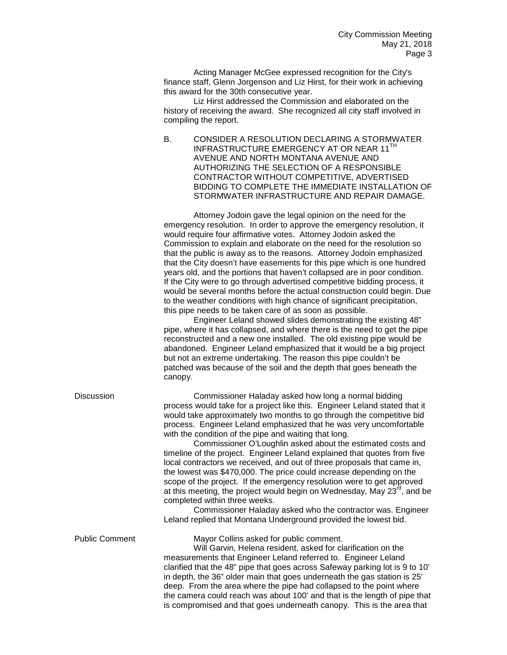Acting Manager McGee expressed recognition for the City's finance staff, Glenn Jorgenson and Liz Hirst, for their work in achieving this award for the 30th consecutive year.

Liz Hirst addressed the Commission and elaborated on the history of receiving the award. She recognized all city staff involved in compiling the report.

B. CONSIDER A RESOLUTION DECLARING A STORMWATER INFRASTRUCTURE EMERGENCY AT OR NEAR 11<sup>TH</sup> AVENUE AND NORTH MONTANA AVENUE AND AUTHORIZING THE SELECTION OF A RESPONSIBLE CONTRACTOR WITHOUT COMPETITIVE, ADVERTISED BIDDING TO COMPLETE THE IMMEDIATE INSTALLATION OF STORMWATER INFRASTRUCTURE AND REPAIR DAMAGE.

Attorney Jodoin gave the legal opinion on the need for the emergency resolution. In order to approve the emergency resolution, it would require four affirmative votes. Attorney Jodoin asked the Commission to explain and elaborate on the need for the resolution so that the public is away as to the reasons. Attorney Jodoin emphasized that the City doesn't have easements for this pipe which is one hundred years old, and the portions that haven't collapsed are in poor condition. If the City were to go through advertised competitive bidding process, it would be several months before the actual construction could begin. Due to the weather conditions with high chance of significant precipitation, this pipe needs to be taken care of as soon as possible.

Engineer Leland showed slides demonstrating the existing 48" pipe, where it has collapsed, and where there is the need to get the pipe reconstructed and a new one installed. The old existing pipe would be abandoned. Engineer Leland emphasized that it would be a big project but not an extreme undertaking. The reason this pipe couldn't be patched was because of the soil and the depth that goes beneath the canopy.

Discussion Commissioner Haladay asked how long a normal bidding process would take for a project like this. Engineer Leland stated that it would take approximately two months to go through the competitive bid process. Engineer Leland emphasized that he was very uncomfortable with the condition of the pipe and waiting that long.

> Commissioner O'Loughlin asked about the estimated costs and timeline of the project. Engineer Leland explained that quotes from five local contractors we received, and out of three proposals that came in, the lowest was \$470,000. The price could increase depending on the scope of the project. If the emergency resolution were to get approved at this meeting, the project would begin on Wednesday, May  $23^{\text{rd}}$ , and be completed within three weeks.

> Commissioner Haladay asked who the contractor was. Engineer Leland replied that Montana Underground provided the lowest bid.

Public Comment Mayor Collins asked for public comment.

Will Garvin, Helena resident, asked for clarification on the measurements that Engineer Leland referred to. Engineer Leland clarified that the 48" pipe that goes across Safeway parking lot is 9 to 10' in depth, the 36" older main that goes underneath the gas station is 25' deep. From the area where the pipe had collapsed to the point where the camera could reach was about 100' and that is the length of pipe that is compromised and that goes underneath canopy. This is the area that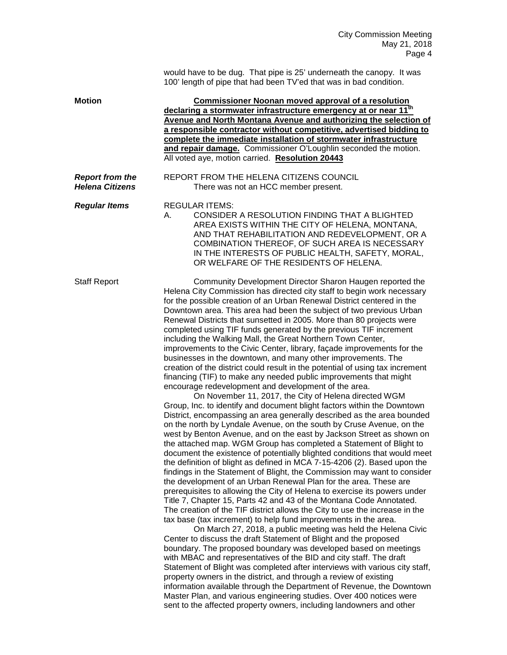would have to be dug. That pipe is 25' underneath the canopy. It was 100' length of pipe that had been TV'ed that was in bad condition.

| <b>Motion</b>                                    | <b>Commissioner Noonan moved approval of a resolution</b><br>declaring a stormwater infrastructure emergency at or near 11 <sup>th</sup><br>Avenue and North Montana Avenue and authorizing the selection of<br>a responsible contractor without competitive, advertised bidding to<br>complete the immediate installation of stormwater infrastructure<br>and repair damage. Commissioner O'Loughlin seconded the motion.<br>All voted aye, motion carried. Resolution 20443                                                                                                                                                                                                                                                                                                                                                                                                                                                                                                                                                                                                                                                                                                                                                                                                                                                                                                                                                                                                                                                                                                                                                                                                                                                                                                                                                                                                                                                                                                                                                                                                                                                                                                                                                                                                                                                                                                                                                                                                                                                                                         |
|--------------------------------------------------|-----------------------------------------------------------------------------------------------------------------------------------------------------------------------------------------------------------------------------------------------------------------------------------------------------------------------------------------------------------------------------------------------------------------------------------------------------------------------------------------------------------------------------------------------------------------------------------------------------------------------------------------------------------------------------------------------------------------------------------------------------------------------------------------------------------------------------------------------------------------------------------------------------------------------------------------------------------------------------------------------------------------------------------------------------------------------------------------------------------------------------------------------------------------------------------------------------------------------------------------------------------------------------------------------------------------------------------------------------------------------------------------------------------------------------------------------------------------------------------------------------------------------------------------------------------------------------------------------------------------------------------------------------------------------------------------------------------------------------------------------------------------------------------------------------------------------------------------------------------------------------------------------------------------------------------------------------------------------------------------------------------------------------------------------------------------------------------------------------------------------------------------------------------------------------------------------------------------------------------------------------------------------------------------------------------------------------------------------------------------------------------------------------------------------------------------------------------------------------------------------------------------------------------------------------------------------|
| <b>Report from the</b><br><b>Helena Citizens</b> | REPORT FROM THE HELENA CITIZENS COUNCIL<br>There was not an HCC member present.                                                                                                                                                                                                                                                                                                                                                                                                                                                                                                                                                                                                                                                                                                                                                                                                                                                                                                                                                                                                                                                                                                                                                                                                                                                                                                                                                                                                                                                                                                                                                                                                                                                                                                                                                                                                                                                                                                                                                                                                                                                                                                                                                                                                                                                                                                                                                                                                                                                                                       |
| <b>Regular Items</b>                             | <b>REGULAR ITEMS:</b><br>CONSIDER A RESOLUTION FINDING THAT A BLIGHTED<br>А.<br>AREA EXISTS WITHIN THE CITY OF HELENA, MONTANA,<br>AND THAT REHABILITATION AND REDEVELOPMENT, OR A<br>COMBINATION THEREOF, OF SUCH AREA IS NECESSARY<br>IN THE INTERESTS OF PUBLIC HEALTH, SAFETY, MORAL,<br>OR WELFARE OF THE RESIDENTS OF HELENA.                                                                                                                                                                                                                                                                                                                                                                                                                                                                                                                                                                                                                                                                                                                                                                                                                                                                                                                                                                                                                                                                                                                                                                                                                                                                                                                                                                                                                                                                                                                                                                                                                                                                                                                                                                                                                                                                                                                                                                                                                                                                                                                                                                                                                                   |
| <b>Staff Report</b>                              | Community Development Director Sharon Haugen reported the<br>Helena City Commission has directed city staff to begin work necessary<br>for the possible creation of an Urban Renewal District centered in the<br>Downtown area. This area had been the subject of two previous Urban<br>Renewal Districts that sunsetted in 2005. More than 80 projects were<br>completed using TIF funds generated by the previous TIF increment<br>including the Walking Mall, the Great Northern Town Center,<br>improvements to the Civic Center, library, façade improvements for the<br>businesses in the downtown, and many other improvements. The<br>creation of the district could result in the potential of using tax increment<br>financing (TIF) to make any needed public improvements that might<br>encourage redevelopment and development of the area.<br>On November 11, 2017, the City of Helena directed WGM<br>Group, Inc. to identify and document blight factors within the Downtown<br>District, encompassing an area generally described as the area bounded<br>on the north by Lyndale Avenue, on the south by Cruse Avenue, on the<br>west by Benton Avenue, and on the east by Jackson Street as shown on<br>the attached map. WGM Group has completed a Statement of Blight to<br>document the existence of potentially blighted conditions that would meet<br>the definition of blight as defined in MCA 7-15-4206 (2). Based upon the<br>findings in the Statement of Blight, the Commission may want to consider<br>the development of an Urban Renewal Plan for the area. These are<br>prerequisites to allowing the City of Helena to exercise its powers under<br>Title 7, Chapter 15, Parts 42 and 43 of the Montana Code Annotated.<br>The creation of the TIF district allows the City to use the increase in the<br>tax base (tax increment) to help fund improvements in the area.<br>On March 27, 2018, a public meeting was held the Helena Civic<br>Center to discuss the draft Statement of Blight and the proposed<br>boundary. The proposed boundary was developed based on meetings<br>with MBAC and representatives of the BID and city staff. The draft<br>Statement of Blight was completed after interviews with various city staff,<br>property owners in the district, and through a review of existing<br>information available through the Department of Revenue, the Downtown<br>Master Plan, and various engineering studies. Over 400 notices were<br>sent to the affected property owners, including landowners and other |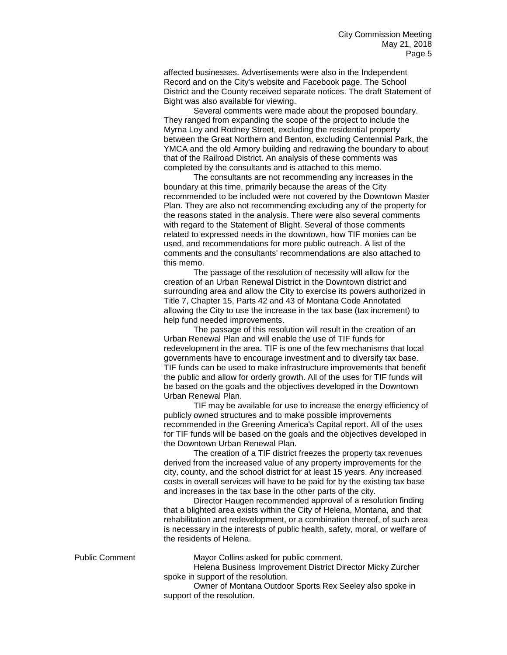affected businesses. Advertisements were also in the Independent Record and on the City's website and Facebook page. The School District and the County received separate notices. The draft Statement of Bight was also available for viewing.

Several comments were made about the proposed boundary. They ranged from expanding the scope of the project to include the Myrna Loy and Rodney Street, excluding the residential property between the Great Northern and Benton, excluding Centennial Park, the YMCA and the old Armory building and redrawing the boundary to about that of the Railroad District. An analysis of these comments was completed by the consultants and is attached to this memo.

The consultants are not recommending any increases in the boundary at this time, primarily because the areas of the City recommended to be included were not covered by the Downtown Master Plan. They are also not recommending excluding any of the property for the reasons stated in the analysis. There were also several comments with regard to the Statement of Blight. Several of those comments related to expressed needs in the downtown, how TIF monies can be used, and recommendations for more public outreach. A list of the comments and the consultants' recommendations are also attached to this memo.

The passage of the resolution of necessity will allow for the creation of an Urban Renewal District in the Downtown district and surrounding area and allow the City to exercise its powers authorized in Title 7, Chapter 15, Parts 42 and 43 of Montana Code Annotated allowing the City to use the increase in the tax base (tax increment) to help fund needed improvements.

The passage of this resolution will result in the creation of an Urban Renewal Plan and will enable the use of TIF funds for redevelopment in the area. TIF is one of the few mechanisms that local governments have to encourage investment and to diversify tax base. TIF funds can be used to make infrastructure improvements that benefit the public and allow for orderly growth. All of the uses for TIF funds will be based on the goals and the objectives developed in the Downtown Urban Renewal Plan.

TIF may be available for use to increase the energy efficiency of publicly owned structures and to make possible improvements recommended in the Greening America's Capital report. All of the uses for TIF funds will be based on the goals and the objectives developed in the Downtown Urban Renewal Plan.

The creation of a TIF district freezes the property tax revenues derived from the increased value of any property improvements for the city, county, and the school district for at least 15 years. Any increased costs in overall services will have to be paid for by the existing tax base and increases in the tax base in the other parts of the city.

Director Haugen recommended approval of a resolution finding that a blighted area exists within the City of Helena, Montana, and that rehabilitation and redevelopment, or a combination thereof, of such area is necessary in the interests of public health, safety, moral, or welfare of the residents of Helena.

Public Comment Mayor Collins asked for public comment.

Helena Business Improvement District Director Micky Zurcher spoke in support of the resolution.

Owner of Montana Outdoor Sports Rex Seeley also spoke in support of the resolution.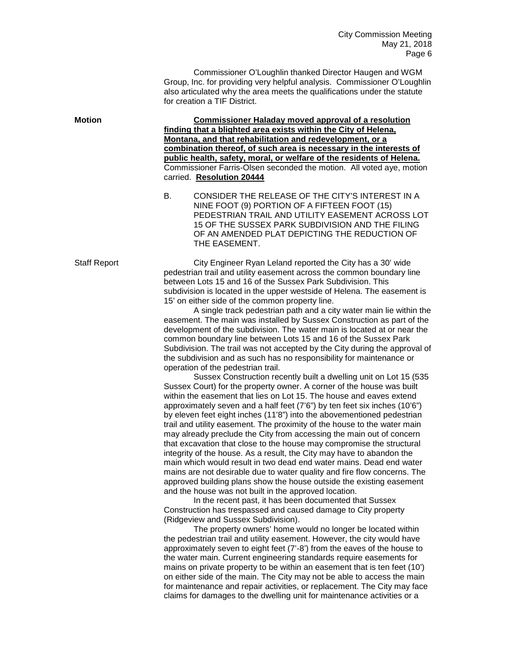Commissioner O'Loughlin thanked Director Haugen and WGM Group, Inc. for providing very helpful analysis. Commissioner O'Loughlin also articulated why the area meets the qualifications under the statute for creation a TIF District.

**Motion Commissioner Haladay moved approval of a resolution finding that a blighted area exists within the City of Helena, Montana, and that rehabilitation and redevelopment, or a combination thereof, of such area is necessary in the interests of public health, safety, moral, or welfare of the residents of Helena.** Commissioner Farris-Olsen seconded the motion. All voted aye, motion carried. **Resolution 20444**

> B. CONSIDER THE RELEASE OF THE CITY'S INTEREST IN A NINE FOOT (9) PORTION OF A FIFTEEN FOOT (15) PEDESTRIAN TRAIL AND UTILITY EASEMENT ACROSS LOT 15 OF THE SUSSEX PARK SUBDIVISION AND THE FILING OF AN AMENDED PLAT DEPICTING THE REDUCTION OF THE EASEMENT.

Staff Report City Engineer Ryan Leland reported the City has a 30' wide pedestrian trail and utility easement across the common boundary line between Lots 15 and 16 of the Sussex Park Subdivision. This subdivision is located in the upper westside of Helena. The easement is 15' on either side of the common property line.

> A single track pedestrian path and a city water main lie within the easement. The main was installed by Sussex Construction as part of the development of the subdivision. The water main is located at or near the common boundary line between Lots 15 and 16 of the Sussex Park Subdivision. The trail was not accepted by the City during the approval of the subdivision and as such has no responsibility for maintenance or operation of the pedestrian trail.

> Sussex Construction recently built a dwelling unit on Lot 15 (535 Sussex Court) for the property owner. A corner of the house was built within the easement that lies on Lot 15. The house and eaves extend approximately seven and a half feet (7'6") by ten feet six inches (10'6") by eleven feet eight inches (11'8") into the abovementioned pedestrian trail and utility easement. The proximity of the house to the water main may already preclude the City from accessing the main out of concern that excavation that close to the house may compromise the structural integrity of the house. As a result, the City may have to abandon the main which would result in two dead end water mains. Dead end water mains are not desirable due to water quality and fire flow concerns. The approved building plans show the house outside the existing easement and the house was not built in the approved location.

In the recent past, it has been documented that Sussex Construction has trespassed and caused damage to City property (Ridgeview and Sussex Subdivision).

The property owners' home would no longer be located within the pedestrian trail and utility easement. However, the city would have approximately seven to eight feet (7'-8') from the eaves of the house to the water main. Current engineering standards require easements for mains on private property to be within an easement that is ten feet (10') on either side of the main. The City may not be able to access the main for maintenance and repair activities, or replacement. The City may face claims for damages to the dwelling unit for maintenance activities or a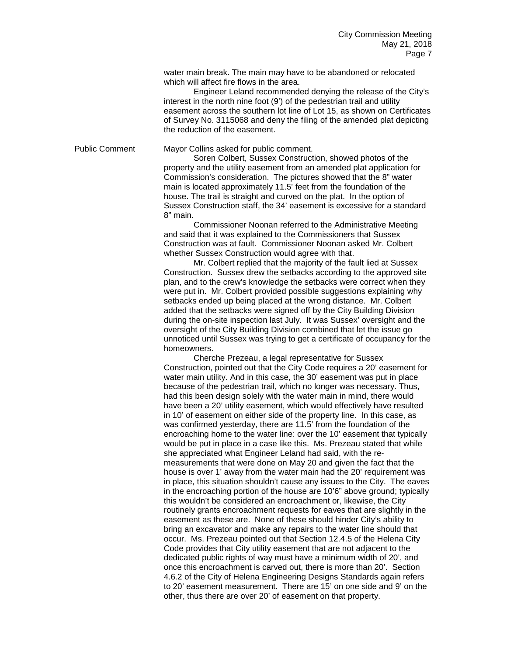water main break. The main may have to be abandoned or relocated which will affect fire flows in the area.

Engineer Leland recommended denying the release of the City's interest in the north nine foot (9') of the pedestrian trail and utility easement across the southern lot line of Lot 15, as shown on Certificates of Survey No. 3115068 and deny the filing of the amended plat depicting the reduction of the easement.

Public Comment Mayor Collins asked for public comment.

Soren Colbert, Sussex Construction, showed photos of the property and the utility easement from an amended plat application for Commission's consideration. The pictures showed that the 8" water main is located approximately 11.5' feet from the foundation of the house. The trail is straight and curved on the plat. In the option of Sussex Construction staff, the 34' easement is excessive for a standard 8" main.

Commissioner Noonan referred to the Administrative Meeting and said that it was explained to the Commissioners that Sussex Construction was at fault. Commissioner Noonan asked Mr. Colbert whether Sussex Construction would agree with that.

Mr. Colbert replied that the majority of the fault lied at Sussex Construction. Sussex drew the setbacks according to the approved site plan, and to the crew's knowledge the setbacks were correct when they were put in. Mr. Colbert provided possible suggestions explaining why setbacks ended up being placed at the wrong distance. Mr. Colbert added that the setbacks were signed off by the City Building Division during the on-site inspection last July. It was Sussex' oversight and the oversight of the City Building Division combined that let the issue go unnoticed until Sussex was trying to get a certificate of occupancy for the homeowners.

Cherche Prezeau, a legal representative for Sussex Construction, pointed out that the City Code requires a 20' easement for water main utility. And in this case, the 30' easement was put in place because of the pedestrian trail, which no longer was necessary. Thus, had this been design solely with the water main in mind, there would have been a 20' utility easement, which would effectively have resulted in 10' of easement on either side of the property line. In this case, as was confirmed yesterday, there are 11.5' from the foundation of the encroaching home to the water line: over the 10' easement that typically would be put in place in a case like this. Ms. Prezeau stated that while she appreciated what Engineer Leland had said, with the remeasurements that were done on May 20 and given the fact that the house is over 1' away from the water main had the 20' requirement was in place, this situation shouldn't cause any issues to the City. The eaves in the encroaching portion of the house are 10'6" above ground; typically this wouldn't be considered an encroachment or, likewise, the City routinely grants encroachment requests for eaves that are slightly in the easement as these are. None of these should hinder City's ability to bring an excavator and make any repairs to the water line should that occur. Ms. Prezeau pointed out that Section 12.4.5 of the Helena City Code provides that City utility easement that are not adjacent to the dedicated public rights of way must have a minimum width of 20', and once this encroachment is carved out, there is more than 20'. Section 4.6.2 of the City of Helena Engineering Designs Standards again refers to 20' easement measurement. There are 15' on one side and 9' on the other, thus there are over 20' of easement on that property.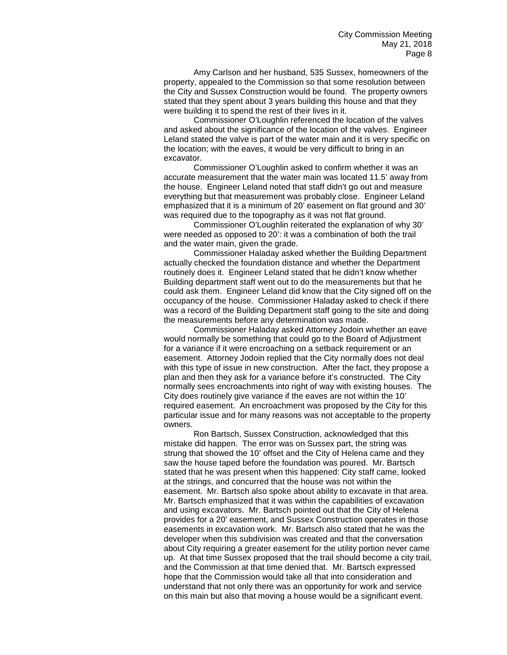Amy Carlson and her husband, 535 Sussex, homeowners of the property, appealed to the Commission so that some resolution between the City and Sussex Construction would be found. The property owners stated that they spent about 3 years building this house and that they were building it to spend the rest of their lives in it.

Commissioner O'Loughlin referenced the location of the valves and asked about the significance of the location of the valves. Engineer Leland stated the valve is part of the water main and it is very specific on the location; with the eaves, it would be very difficult to bring in an excavator.

Commissioner O'Loughlin asked to confirm whether it was an accurate measurement that the water main was located 11.5' away from the house. Engineer Leland noted that staff didn't go out and measure everything but that measurement was probably close. Engineer Leland emphasized that it is a minimum of 20' easement on flat ground and 30' was required due to the topography as it was not flat ground.

Commissioner O'Loughlin reiterated the explanation of why 30' were needed as opposed to 20': it was a combination of both the trail and the water main, given the grade.

Commissioner Haladay asked whether the Building Department actually checked the foundation distance and whether the Department routinely does it. Engineer Leland stated that he didn't know whether Building department staff went out to do the measurements but that he could ask them. Engineer Leland did know that the City signed off on the occupancy of the house. Commissioner Haladay asked to check if there was a record of the Building Department staff going to the site and doing the measurements before any determination was made.

Commissioner Haladay asked Attorney Jodoin whether an eave would normally be something that could go to the Board of Adjustment for a variance if it were encroaching on a setback requirement or an easement. Attorney Jodoin replied that the City normally does not deal with this type of issue in new construction. After the fact, they propose a plan and then they ask for a variance before it's constructed. The City normally sees encroachments into right of way with existing houses. The City does routinely give variance if the eaves are not within the 10' required easement. An encroachment was proposed by the City for this particular issue and for many reasons was not acceptable to the property owners.

Ron Bartsch, Sussex Construction, acknowledged that this mistake did happen. The error was on Sussex part, the string was strung that showed the 10' offset and the City of Helena came and they saw the house taped before the foundation was poured. Mr. Bartsch stated that he was present when this happened: City staff came, looked at the strings, and concurred that the house was not within the easement. Mr. Bartsch also spoke about ability to excavate in that area. Mr. Bartsch emphasized that it was within the capabilities of excavation and using excavators. Mr. Bartsch pointed out that the City of Helena provides for a 20' easement, and Sussex Construction operates in those easements in excavation work. Mr. Bartsch also stated that he was the developer when this subdivision was created and that the conversation about City requiring a greater easement for the utility portion never came up. At that time Sussex proposed that the trail should become a city trail, and the Commission at that time denied that. Mr. Bartsch expressed hope that the Commission would take all that into consideration and understand that not only there was an opportunity for work and service on this main but also that moving a house would be a significant event.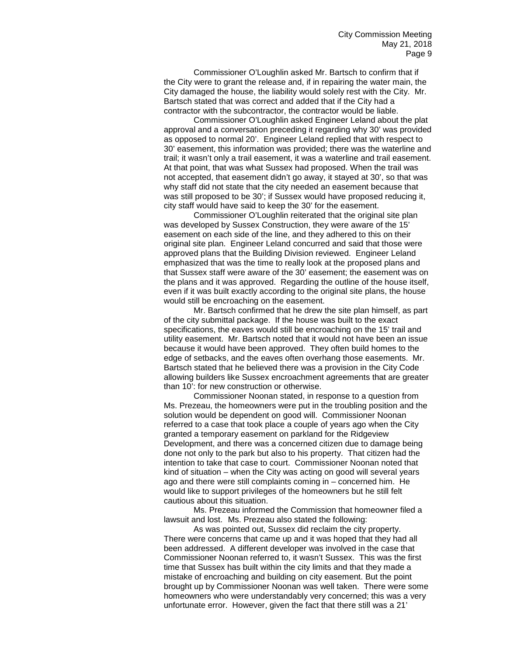Commissioner O'Loughlin asked Mr. Bartsch to confirm that if the City were to grant the release and, if in repairing the water main, the City damaged the house, the liability would solely rest with the City. Mr. Bartsch stated that was correct and added that if the City had a contractor with the subcontractor, the contractor would be liable.

Commissioner O'Loughlin asked Engineer Leland about the plat approval and a conversation preceding it regarding why 30' was provided as opposed to normal 20'. Engineer Leland replied that with respect to 30' easement, this information was provided; there was the waterline and trail; it wasn't only a trail easement, it was a waterline and trail easement. At that point, that was what Sussex had proposed. When the trail was not accepted, that easement didn't go away, it stayed at 30', so that was why staff did not state that the city needed an easement because that was still proposed to be 30'; if Sussex would have proposed reducing it, city staff would have said to keep the 30' for the easement.

Commissioner O'Loughlin reiterated that the original site plan was developed by Sussex Construction, they were aware of the 15' easement on each side of the line, and they adhered to this on their original site plan. Engineer Leland concurred and said that those were approved plans that the Building Division reviewed. Engineer Leland emphasized that was the time to really look at the proposed plans and that Sussex staff were aware of the 30' easement; the easement was on the plans and it was approved. Regarding the outline of the house itself, even if it was built exactly according to the original site plans, the house would still be encroaching on the easement.

Mr. Bartsch confirmed that he drew the site plan himself, as part of the city submittal package. If the house was built to the exact specifications, the eaves would still be encroaching on the 15' trail and utility easement. Mr. Bartsch noted that it would not have been an issue because it would have been approved. They often build homes to the edge of setbacks, and the eaves often overhang those easements. Mr. Bartsch stated that he believed there was a provision in the City Code allowing builders like Sussex encroachment agreements that are greater than 10': for new construction or otherwise.

Commissioner Noonan stated, in response to a question from Ms. Prezeau, the homeowners were put in the troubling position and the solution would be dependent on good will. Commissioner Noonan referred to a case that took place a couple of years ago when the City granted a temporary easement on parkland for the Ridgeview Development, and there was a concerned citizen due to damage being done not only to the park but also to his property. That citizen had the intention to take that case to court. Commissioner Noonan noted that kind of situation – when the City was acting on good will several years ago and there were still complaints coming in – concerned him. He would like to support privileges of the homeowners but he still felt cautious about this situation.

Ms. Prezeau informed the Commission that homeowner filed a lawsuit and lost. Ms. Prezeau also stated the following:

As was pointed out, Sussex did reclaim the city property. There were concerns that came up and it was hoped that they had all been addressed. A different developer was involved in the case that Commissioner Noonan referred to, it wasn't Sussex. This was the first time that Sussex has built within the city limits and that they made a mistake of encroaching and building on city easement. But the point brought up by Commissioner Noonan was well taken. There were some homeowners who were understandably very concerned; this was a very unfortunate error. However, given the fact that there still was a 21'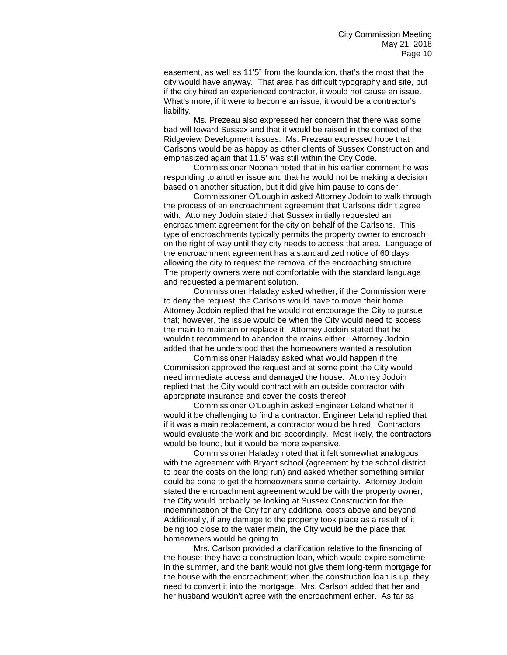easement, as well as 11'5" from the foundation, that's the most that the city would have anyway. That area has difficult typography and site, but if the city hired an experienced contractor, it would not cause an issue. What's more, if it were to become an issue, it would be a contractor's liability.

Ms. Prezeau also expressed her concern that there was some bad will toward Sussex and that it would be raised in the context of the Ridgeview Development issues. Ms. Prezeau expressed hope that Carlsons would be as happy as other clients of Sussex Construction and emphasized again that 11.5' was still within the City Code.

Commissioner Noonan noted that in his earlier comment he was responding to another issue and that he would not be making a decision based on another situation, but it did give him pause to consider.

Commissioner O'Loughlin asked Attorney Jodoin to walk through the process of an encroachment agreement that Carlsons didn't agree with. Attorney Jodoin stated that Sussex initially requested an encroachment agreement for the city on behalf of the Carlsons. This type of encroachments typically permits the property owner to encroach on the right of way until they city needs to access that area. Language of the encroachment agreement has a standardized notice of 60 days allowing the city to request the removal of the encroaching structure. The property owners were not comfortable with the standard language and requested a permanent solution.

Commissioner Haladay asked whether, if the Commission were to deny the request, the Carlsons would have to move their home. Attorney Jodoin replied that he would not encourage the City to pursue that; however, the issue would be when the City would need to access the main to maintain or replace it. Attorney Jodoin stated that he wouldn't recommend to abandon the mains either. Attorney Jodoin added that he understood that the homeowners wanted a resolution.

Commissioner Haladay asked what would happen if the Commission approved the request and at some point the City would need immediate access and damaged the house. Attorney Jodoin replied that the City would contract with an outside contractor with appropriate insurance and cover the costs thereof.

Commissioner O'Loughlin asked Engineer Leland whether it would it be challenging to find a contractor. Engineer Leland replied that if it was a main replacement, a contractor would be hired. Contractors would evaluate the work and bid accordingly. Most likely, the contractors would be found, but it would be more expensive.

Commissioner Haladay noted that it felt somewhat analogous with the agreement with Bryant school (agreement by the school district to bear the costs on the long run) and asked whether something similar could be done to get the homeowners some certainty. Attorney Jodoin stated the encroachment agreement would be with the property owner; the City would probably be looking at Sussex Construction for the indemnification of the City for any additional costs above and beyond. Additionally, if any damage to the property took place as a result of it being too close to the water main, the City would be the place that homeowners would be going to.

Mrs. Carlson provided a clarification relative to the financing of the house: they have a construction loan, which would expire sometime in the summer, and the bank would not give them long-term mortgage for the house with the encroachment; when the construction loan is up, they need to convert it into the mortgage. Mrs. Carlson added that her and her husband wouldn't agree with the encroachment either. As far as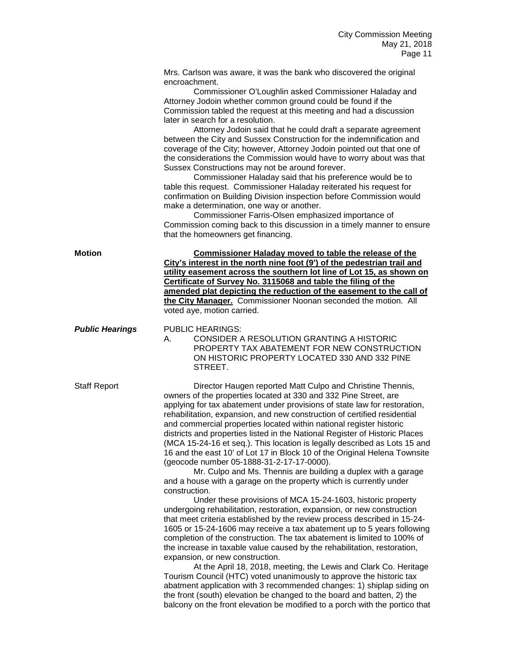Mrs. Carlson was aware, it was the bank who discovered the original encroachment.

Commissioner O'Loughlin asked Commissioner Haladay and Attorney Jodoin whether common ground could be found if the Commission tabled the request at this meeting and had a discussion later in search for a resolution.

Attorney Jodoin said that he could draft a separate agreement between the City and Sussex Construction for the indemnification and coverage of the City; however, Attorney Jodoin pointed out that one of the considerations the Commission would have to worry about was that Sussex Constructions may not be around forever.

Commissioner Haladay said that his preference would be to table this request. Commissioner Haladay reiterated his request for confirmation on Building Division inspection before Commission would make a determination, one way or another.

Commissioner Farris-Olsen emphasized importance of Commission coming back to this discussion in a timely manner to ensure that the homeowners get financing.

**Motion Commissioner Haladay moved to table the release of the City's interest in the north nine foot (9') of the pedestrian trail and utility easement across the southern lot line of Lot 15, as shown on Certificate of Survey No. 3115068 and table the filing of the amended plat depicting the reduction of the easement to the call of the City Manager.** Commissioner Noonan seconded the motion. All voted aye, motion carried.

**Public Hearings** PUBLIC HEARINGS:

A. CONSIDER A RESOLUTION GRANTING A HISTORIC PROPERTY TAX ABATEMENT FOR NEW CONSTRUCTION ON HISTORIC PROPERTY LOCATED 330 AND 332 PINE STREET.

Staff Report Director Haugen reported Matt Culpo and Christine Thennis, owners of the properties located at 330 and 332 Pine Street, are applying for tax abatement under provisions of state law for restoration, rehabilitation, expansion, and new construction of certified residential and commercial properties located within national register historic districts and properties listed in the National Register of Historic Places (MCA 15-24-16 et seq.). This location is legally described as Lots 15 and 16 and the east 10' of Lot 17 in Block 10 of the Original Helena Townsite (geocode number 05-1888-31-2-17-17-0000).

> Mr. Culpo and Ms. Thennis are building a duplex with a garage and a house with a garage on the property which is currently under construction.

Under these provisions of MCA 15-24-1603, historic property undergoing rehabilitation, restoration, expansion, or new construction that meet criteria established by the review process described in 15-24- 1605 or 15-24-1606 may receive a tax abatement up to 5 years following completion of the construction. The tax abatement is limited to 100% of the increase in taxable value caused by the rehabilitation, restoration, expansion, or new construction.

At the April 18, 2018, meeting, the Lewis and Clark Co. Heritage Tourism Council (HTC) voted unanimously to approve the historic tax abatment application with 3 recommended changes: 1) shiplap siding on the front (south) elevation be changed to the board and batten, 2) the balcony on the front elevation be modified to a porch with the portico that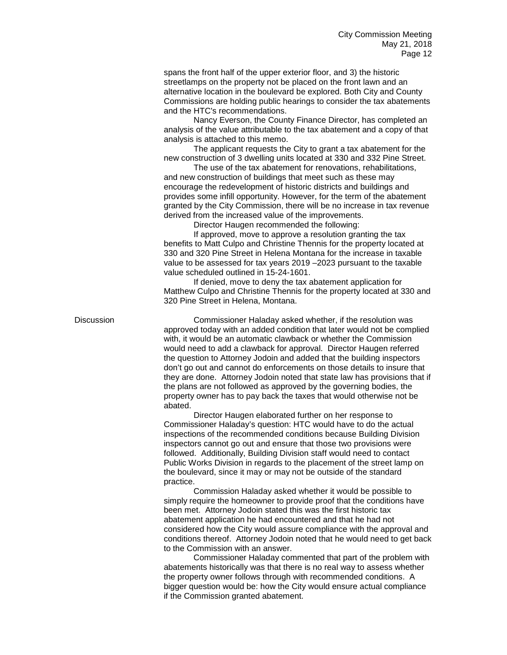spans the front half of the upper exterior floor, and 3) the historic streetlamps on the property not be placed on the front lawn and an alternative location in the boulevard be explored. Both City and County Commissions are holding public hearings to consider the tax abatements and the HTC's recommendations.

Nancy Everson, the County Finance Director, has completed an analysis of the value attributable to the tax abatement and a copy of that analysis is attached to this memo.

The applicant requests the City to grant a tax abatement for the new construction of 3 dwelling units located at 330 and 332 Pine Street.

The use of the tax abatement for renovations, rehabilitations, and new construction of buildings that meet such as these may encourage the redevelopment of historic districts and buildings and provides some infill opportunity. However, for the term of the abatement granted by the City Commission, there will be no increase in tax revenue derived from the increased value of the improvements.

Director Haugen recommended the following:

If approved, move to approve a resolution granting the tax benefits to Matt Culpo and Christine Thennis for the property located at 330 and 320 Pine Street in Helena Montana for the increase in taxable value to be assessed for tax years 2019 –2023 pursuant to the taxable value scheduled outlined in 15-24-1601.

If denied, move to deny the tax abatement application for Matthew Culpo and Christine Thennis for the property located at 330 and 320 Pine Street in Helena, Montana.

Discussion Commissioner Haladay asked whether, if the resolution was approved today with an added condition that later would not be complied with, it would be an automatic clawback or whether the Commission would need to add a clawback for approval. Director Haugen referred the question to Attorney Jodoin and added that the building inspectors don't go out and cannot do enforcements on those details to insure that they are done. Attorney Jodoin noted that state law has provisions that if the plans are not followed as approved by the governing bodies, the property owner has to pay back the taxes that would otherwise not be abated.

> Director Haugen elaborated further on her response to Commissioner Haladay's question: HTC would have to do the actual inspections of the recommended conditions because Building Division inspectors cannot go out and ensure that those two provisions were followed. Additionally, Building Division staff would need to contact Public Works Division in regards to the placement of the street lamp on the boulevard, since it may or may not be outside of the standard practice.

Commission Haladay asked whether it would be possible to simply require the homeowner to provide proof that the conditions have been met. Attorney Jodoin stated this was the first historic tax abatement application he had encountered and that he had not considered how the City would assure compliance with the approval and conditions thereof. Attorney Jodoin noted that he would need to get back to the Commission with an answer.

Commissioner Haladay commented that part of the problem with abatements historically was that there is no real way to assess whether the property owner follows through with recommended conditions. A bigger question would be: how the City would ensure actual compliance if the Commission granted abatement.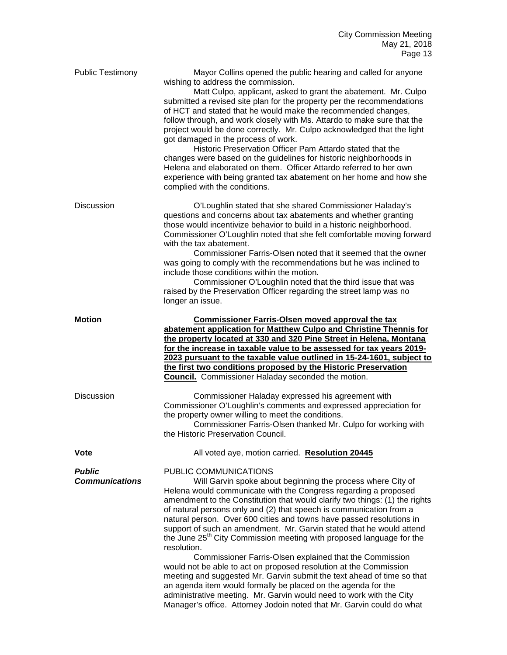| <b>Public Testimony</b>                | Mayor Collins opened the public hearing and called for anyone<br>wishing to address the commission.<br>Matt Culpo, applicant, asked to grant the abatement. Mr. Culpo<br>submitted a revised site plan for the property per the recommendations<br>of HCT and stated that he would make the recommended changes,<br>follow through, and work closely with Ms. Attardo to make sure that the<br>project would be done correctly. Mr. Culpo acknowledged that the light<br>got damaged in the process of work.<br>Historic Preservation Officer Pam Attardo stated that the<br>changes were based on the guidelines for historic neighborhoods in<br>Helena and elaborated on them. Officer Attardo referred to her own<br>experience with being granted tax abatement on her home and how she<br>complied with the conditions.               |
|----------------------------------------|---------------------------------------------------------------------------------------------------------------------------------------------------------------------------------------------------------------------------------------------------------------------------------------------------------------------------------------------------------------------------------------------------------------------------------------------------------------------------------------------------------------------------------------------------------------------------------------------------------------------------------------------------------------------------------------------------------------------------------------------------------------------------------------------------------------------------------------------|
| <b>Discussion</b>                      | O'Loughlin stated that she shared Commissioner Haladay's<br>questions and concerns about tax abatements and whether granting<br>those would incentivize behavior to build in a historic neighborhood.<br>Commissioner O'Loughlin noted that she felt comfortable moving forward<br>with the tax abatement.<br>Commissioner Farris-Olsen noted that it seemed that the owner<br>was going to comply with the recommendations but he was inclined to<br>include those conditions within the motion.<br>Commissioner O'Loughlin noted that the third issue that was<br>raised by the Preservation Officer regarding the street lamp was no<br>longer an issue.                                                                                                                                                                                 |
| <b>Motion</b>                          | <b>Commissioner Farris-Olsen moved approval the tax</b><br>abatement application for Matthew Culpo and Christine Thennis for<br>the property located at 330 and 320 Pine Street in Helena, Montana<br>for the increase in taxable value to be assessed for tax years 2019-<br>2023 pursuant to the taxable value outlined in 15-24-1601, subject to<br>the first two conditions proposed by the Historic Preservation<br><b>Council.</b> Commissioner Haladay seconded the motion.                                                                                                                                                                                                                                                                                                                                                          |
| <b>Discussion</b>                      | Commissioner Haladay expressed his agreement with<br>Commissioner O'Loughlin's comments and expressed appreciation for<br>the property owner willing to meet the conditions.<br>Commissioner Farris-Olsen thanked Mr. Culpo for working with<br>the Historic Preservation Council.                                                                                                                                                                                                                                                                                                                                                                                                                                                                                                                                                          |
| <b>Vote</b>                            | All voted aye, motion carried. Resolution 20445                                                                                                                                                                                                                                                                                                                                                                                                                                                                                                                                                                                                                                                                                                                                                                                             |
| <b>Public</b><br><b>Communications</b> | PUBLIC COMMUNICATIONS<br>Will Garvin spoke about beginning the process where City of<br>Helena would communicate with the Congress regarding a proposed<br>amendment to the Constitution that would clarify two things: (1) the rights<br>of natural persons only and (2) that speech is communication from a<br>natural person. Over 600 cities and towns have passed resolutions in<br>support of such an amendment. Mr. Garvin stated that he would attend<br>the June 25 <sup>th</sup> City Commission meeting with proposed language for the<br>resolution.<br>Commissioner Farris-Olsen explained that the Commission<br>would not be able to act on proposed resolution at the Commission<br>meeting and suggested Mr. Garvin submit the text ahead of time so that<br>an agenda item would formally be placed on the agenda for the |